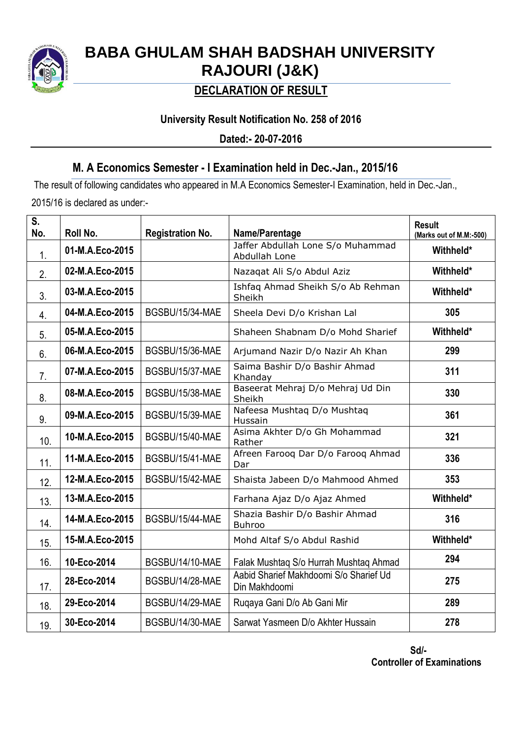

# **BABA GHULAM SHAH BADSHAH UNIVERSITY RAJOURI (J&K)**

## **DECLARATION OF RESULT**

## **University Result Notification No. 258 of 2016**

**Dated:- 20-07-2016**

## **M. A Economics Semester - I Examination held in Dec.-Jan., 2015/16**

The result of following candidates who appeared in M.A Economics Semester-I Examination, held in Dec.-Jan., 2015/16 is declared as under:-

| S.<br>No. | Roll No.        | <b>Registration No.</b> | Name/Parentage                                          | <b>Result</b><br>(Marks out of M.M:-500) |
|-----------|-----------------|-------------------------|---------------------------------------------------------|------------------------------------------|
| 1.        | 01-M.A.Eco-2015 |                         | Jaffer Abdullah Lone S/o Muhammad<br>Abdullah Lone      | Withheld*                                |
| 2.        | 02-M.A.Eco-2015 |                         | Nazaqat Ali S/o Abdul Aziz                              | Withheld*                                |
| 3.        | 03-M.A.Eco-2015 |                         | Ishfaq Ahmad Sheikh S/o Ab Rehman<br>Sheikh             | Withheld*                                |
| 4.        | 04-M.A.Eco-2015 | BGSBU/15/34-MAE         | Sheela Devi D/o Krishan Lal                             | 305                                      |
| 5.        | 05-M.A.Eco-2015 |                         | Shaheen Shabnam D/o Mohd Sharief                        | Withheld*                                |
| 6.        | 06-M.A.Eco-2015 | BGSBU/15/36-MAE         | Arjumand Nazir D/o Nazir Ah Khan                        | 299                                      |
| 7.        | 07-M.A.Eco-2015 | <b>BGSBU/15/37-MAE</b>  | Saima Bashir D/o Bashir Ahmad<br>Khanday                | 311                                      |
| 8.        | 08-M.A.Eco-2015 | <b>BGSBU/15/38-MAE</b>  | Baseerat Mehraj D/o Mehraj Ud Din<br>Sheikh             | 330                                      |
| 9.        | 09-M.A.Eco-2015 | BGSBU/15/39-MAE         | Nafeesa Mushtaq D/o Mushtaq<br>Hussain                  | 361                                      |
| 10.       | 10-M.A.Eco-2015 | BGSBU/15/40-MAE         | Asima Akhter D/o Gh Mohammad<br>Rather                  | 321                                      |
| 11.       | 11-M.A.Eco-2015 | BGSBU/15/41-MAE         | Afreen Farooq Dar D/o Farooq Ahmad<br>Dar               | 336                                      |
| 12.       | 12-M.A.Eco-2015 | BGSBU/15/42-MAE         | Shaista Jabeen D/o Mahmood Ahmed                        | 353                                      |
| 13.       | 13-M.A.Eco-2015 |                         | Farhana Ajaz D/o Ajaz Ahmed                             | Withheld*                                |
| 14.       | 14-M.A.Eco-2015 | BGSBU/15/44-MAE         | Shazia Bashir D/o Bashir Ahmad<br><b>Buhroo</b>         | 316                                      |
| 15.       | 15-M.A.Eco-2015 |                         | Mohd Altaf S/o Abdul Rashid                             | Withheld*                                |
| 16.       | 10-Eco-2014     | BGSBU/14/10-MAE         | Falak Mushtaq S/o Hurrah Mushtaq Ahmad                  | 294                                      |
| 17.       | 28-Eco-2014     | BGSBU/14/28-MAE         | Aabid Sharief Makhdoomi S/o Sharief Ud<br>Din Makhdoomi | 275                                      |
| 18.       | 29-Eco-2014     | BGSBU/14/29-MAE         | Ruqaya Gani D/o Ab Gani Mir                             | 289                                      |
| 19.       | 30-Eco-2014     | BGSBU/14/30-MAE         | Sarwat Yasmeen D/o Akhter Hussain                       | 278                                      |